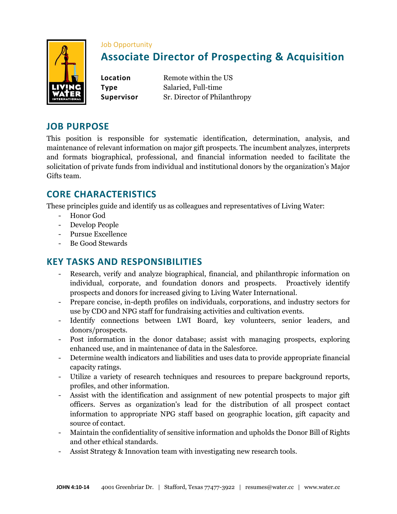

#### Job Opportunity

# **Associate Director of Prospecting & Acquisition**

**Location** Remote within the US **Type** Salaried, Full-time **Supervisor** Sr. Director of Philanthropy

#### **JOB PURPOSE**

This position is responsible for systematic identification, determination, analysis, and maintenance of relevant information on major gift prospects. The incumbent analyzes, interprets and formats biographical, professional, and financial information needed to facilitate the solicitation of private funds from individual and institutional donors by the organization's Major Gifts team.

### **CORE CHARACTERISTICS**

These principles guide and identify us as colleagues and representatives of Living Water:

- Honor God
- Develop People
- Pursue Excellence
- Be Good Stewards

#### **KEY TASKS AND RESPONSIBILITIES**

- Research, verify and analyze biographical, financial, and philanthropic information on individual, corporate, and foundation donors and prospects. Proactively identify prospects and donors for increased giving to Living Water International.
- Prepare concise, in-depth profiles on individuals, corporations, and industry sectors for use by CDO and NPG staff for fundraising activities and cultivation events.
- Identify connections between LWI Board, key volunteers, senior leaders, and donors/prospects.
- Post information in the donor database; assist with managing prospects, exploring enhanced use, and in maintenance of data in the Salesforce.
- Determine wealth indicators and liabilities and uses data to provide appropriate financial capacity ratings.
- Utilize a variety of research techniques and resources to prepare background reports, profiles, and other information.
- Assist with the identification and assignment of new potential prospects to major gift officers. Serves as organization's lead for the distribution of all prospect contact information to appropriate NPG staff based on geographic location, gift capacity and source of contact.
- Maintain the confidentiality of sensitive information and upholds the Donor Bill of Rights and other ethical standards.
- Assist Strategy & Innovation team with investigating new research tools.